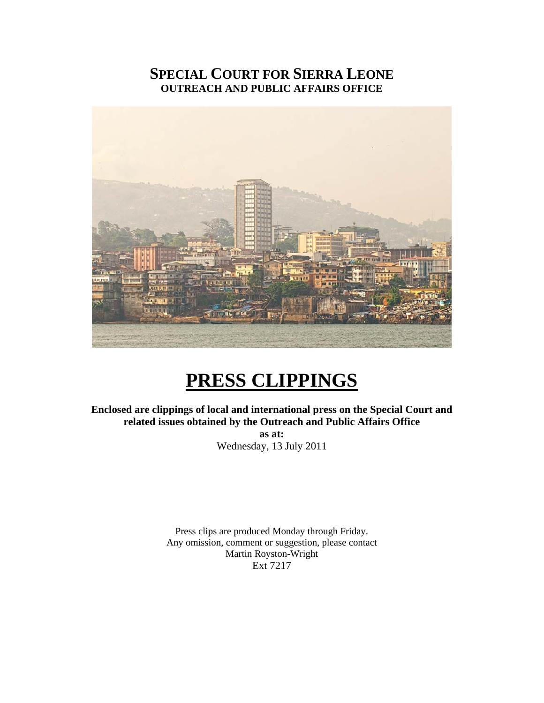### **SPECIAL COURT FOR SIERRA LEONE OUTREACH AND PUBLIC AFFAIRS OFFICE**



## **PRESS CLIPPINGS**

**Enclosed are clippings of local and international press on the Special Court and related issues obtained by the Outreach and Public Affairs Office as at:**  Wednesday, 13 July 2011

> Press clips are produced Monday through Friday. Any omission, comment or suggestion, please contact Martin Royston-Wright Ext 7217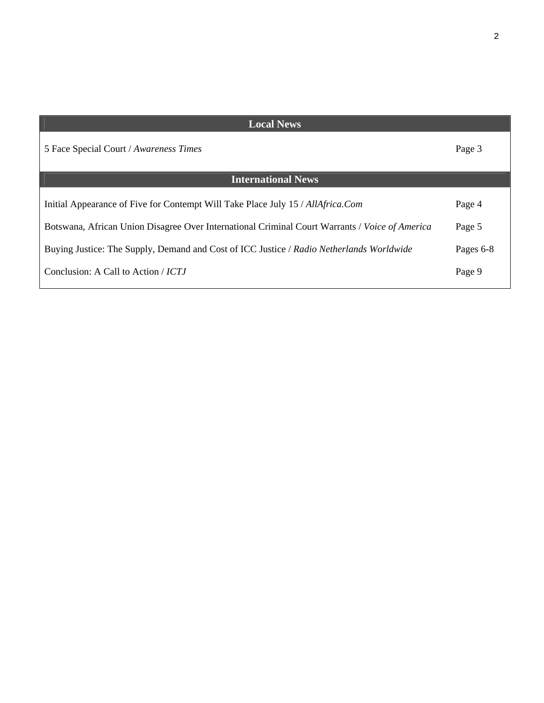| <b>Local News</b>                                                                              |           |
|------------------------------------------------------------------------------------------------|-----------|
| 5 Face Special Court / Awareness Times                                                         | Page 3    |
| <b>International News</b>                                                                      |           |
| Initial Appearance of Five for Contempt Will Take Place July 15 / AllAfrica.Com                | Page 4    |
| Botswana, African Union Disagree Over International Criminal Court Warrants / Voice of America | Page 5    |
| Buying Justice: The Supply, Demand and Cost of ICC Justice / Radio Netherlands Worldwide       | Pages 6-8 |
| Conclusion: A Call to Action / ICTJ                                                            | Page 9    |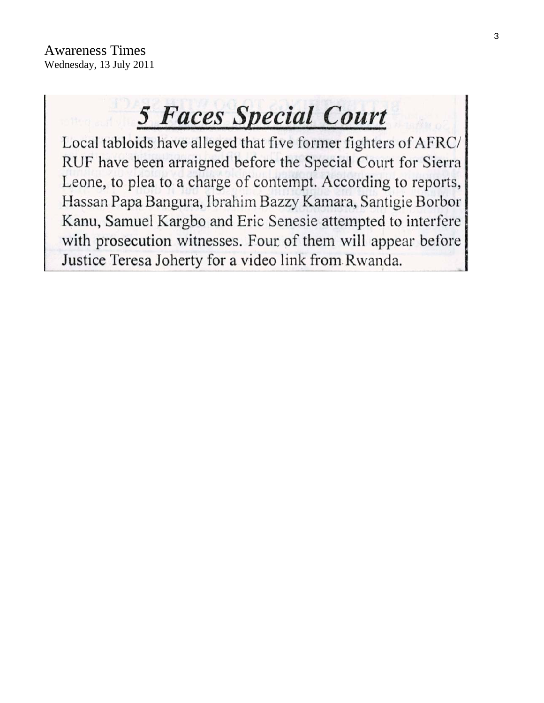# **5 Faces Special Court**

Local tabloids have alleged that five former fighters of AFRC/ RUF have been arraigned before the Special Court for Sierra Leone, to plea to a charge of contempt. According to reports, Hassan Papa Bangura, Ibrahim Bazzy Kamara, Santigie Borbor Kanu, Samuel Kargbo and Eric Senesie attempted to interfere with prosecution witnesses. Four of them will appear before Justice Teresa Joherty for a video link from Rwanda.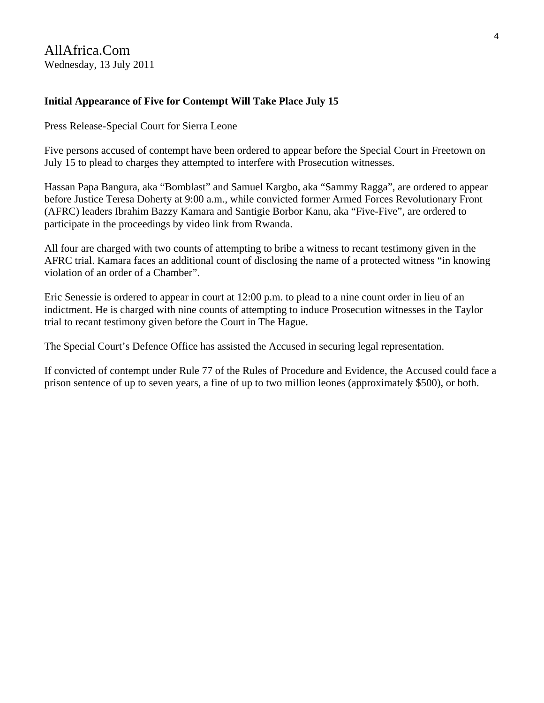#### **Initial Appearance of Five for Contempt Will Take Place July 15**

Press Release-Special Court for Sierra Leone

Five persons accused of contempt have been ordered to appear before the Special Court in Freetown on July 15 to plead to charges they attempted to interfere with Prosecution witnesses.

Hassan Papa Bangura, aka "Bomblast" and Samuel Kargbo, aka "Sammy Ragga", are ordered to appear before Justice Teresa Doherty at 9:00 a.m., while convicted former Armed Forces Revolutionary Front (AFRC) leaders Ibrahim Bazzy Kamara and Santigie Borbor Kanu, aka "Five-Five", are ordered to participate in the proceedings by video link from Rwanda.

All four are charged with two counts of attempting to bribe a witness to recant testimony given in the AFRC trial. Kamara faces an additional count of disclosing the name of a protected witness "in knowing violation of an order of a Chamber".

Eric Senessie is ordered to appear in court at 12:00 p.m. to plead to a nine count order in lieu of an indictment. He is charged with nine counts of attempting to induce Prosecution witnesses in the Taylor trial to recant testimony given before the Court in The Hague.

The Special Court's Defence Office has assisted the Accused in securing legal representation.

If convicted of contempt under Rule 77 of the Rules of Procedure and Evidence, the Accused could face a prison sentence of up to seven years, a fine of up to two million leones (approximately \$500), or both.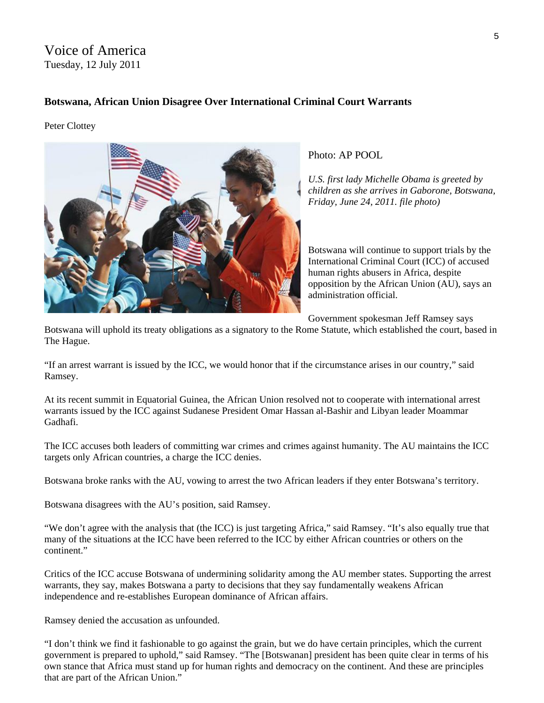#### Voice of America Tuesday, 12 July 2011

#### **Botswana, African Union Disagree Over International Criminal Court Warrants**

Peter Clottey



Photo: AP POOL

*U.S. first lady Michelle Obama is greeted by children as she arrives in Gaborone, Botswana, Friday, June 24, 2011. file photo)* 

Botswana will continue to support trials by the International Criminal Court (ICC) of accused human rights abusers in Africa, despite opposition by the African Union (AU), says an administration official.

Government spokesman Jeff Ramsey says

Botswana will uphold its treaty obligations as a signatory to the Rome Statute, which established the court, based in The Hague.

"If an arrest warrant is issued by the ICC, we would honor that if the circumstance arises in our country," said Ramsey.

At its recent summit in Equatorial Guinea, the African Union resolved not to cooperate with international arrest warrants issued by the ICC against Sudanese President Omar Hassan al-Bashir and Libyan leader Moammar Gadhafi.

The ICC accuses both leaders of committing war crimes and crimes against humanity. The AU maintains the ICC targets only African countries, a charge the ICC denies.

Botswana broke ranks with the AU, vowing to arrest the two African leaders if they enter Botswana's territory.

Botswana disagrees with the AU's position, said Ramsey.

"We don't agree with the analysis that (the ICC) is just targeting Africa," said Ramsey. "It's also equally true that many of the situations at the ICC have been referred to the ICC by either African countries or others on the continent."

Critics of the ICC accuse Botswana of undermining solidarity among the AU member states. Supporting the arrest warrants, they say, makes Botswana a party to decisions that they say fundamentally weakens African independence and re-establishes European dominance of African affairs.

Ramsey denied the accusation as unfounded.

"I don't think we find it fashionable to go against the grain, but we do have certain principles, which the current government is prepared to uphold," said Ramsey. "The [Botswanan] president has been quite clear in terms of his own stance that Africa must stand up for human rights and democracy on the continent. And these are principles that are part of the African Union."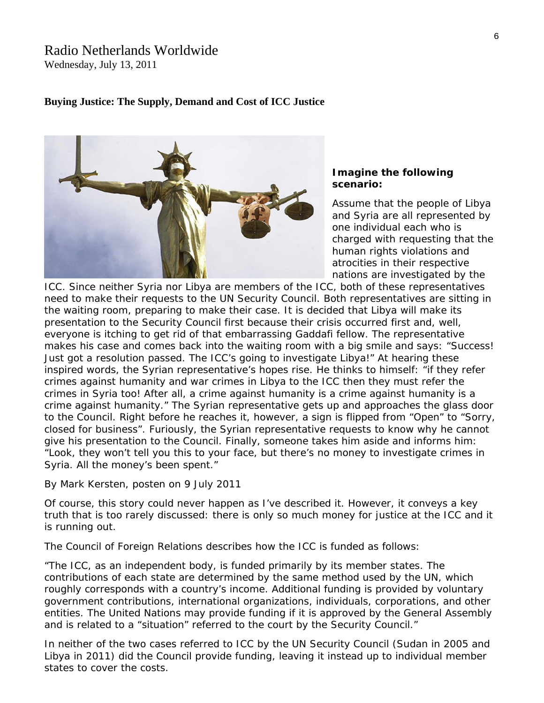## Radio Netherlands Worldwide

Wednesday, July 13, 2011

#### **Buying Justice: The Supply, Demand and Cost of ICC Justice**



#### **Imagine the following scenario:**

Assume that the people of Libya and Syria are all represented by one individual each who is charged with requesting that the human rights violations and atrocities in their respective nations are investigated by the

ICC. Since neither Syria nor Libya are members of the ICC, both of these representatives need to make their requests to the UN Security Council. Both representatives are sitting in the waiting room, preparing to make their case. It is decided that Libya will make its presentation to the Security Council first because their crisis occurred first and, well, everyone is itching to get rid of that embarrassing Gaddafi fellow. The representative makes his case and comes back into the waiting room with a big smile and says: "Success! Just got a resolution passed. The ICC's going to investigate Libya!" At hearing these inspired words, the Syrian representative's hopes rise. He thinks to himself: "if they refer crimes against humanity and war crimes in Libya to the ICC then they must refer the crimes in Syria too! After all, a crime against humanity is a crime against humanity is a crime against humanity." The Syrian representative gets up and approaches the glass door to the Council. Right before he reaches it, however, a sign is flipped from "Open" to "Sorry, closed for business". Furiously, the Syrian representative requests to know why he cannot give his presentation to the Council. Finally, someone takes him aside and informs him: "Look, they won't tell you this to your face, but there's no money to investigate crimes in Syria. All the money's been spent."

By Mark Kersten, posten on 9 July 2011

Of course, this story could never happen as I've described it. However, it conveys a key truth that is too rarely discussed: there is only so much money for justice at the ICC and it is running out.

The [Council of Foreign Relations describes how the ICC is funded](http://www.cfr.org/international-criminal-courts-and-tribunals/frequently-asked-questions-international-criminal-court/p8981) as follows:

"The ICC, as an independent body, is funded primarily by its member states. The contributions of each state are determined by the same method used by the UN, which roughly corresponds with a country's income. Additional funding is provided by voluntary government contributions, international organizations, individuals, corporations, and other entities. The United Nations may provide funding if it is approved by the General Assembly and is related to a "situation" referred to the court by the Security Council."

In neither of the two cases referred to ICC by the UN Security Council ([Sudan](http://justiceinconflict.org/category/sudan/) in 2005 and [Libya](http://justiceinconflict.org/category/libya-and-the-icc/) in 2011) did the Council provide funding, leaving it instead up to individual member states to cover the costs.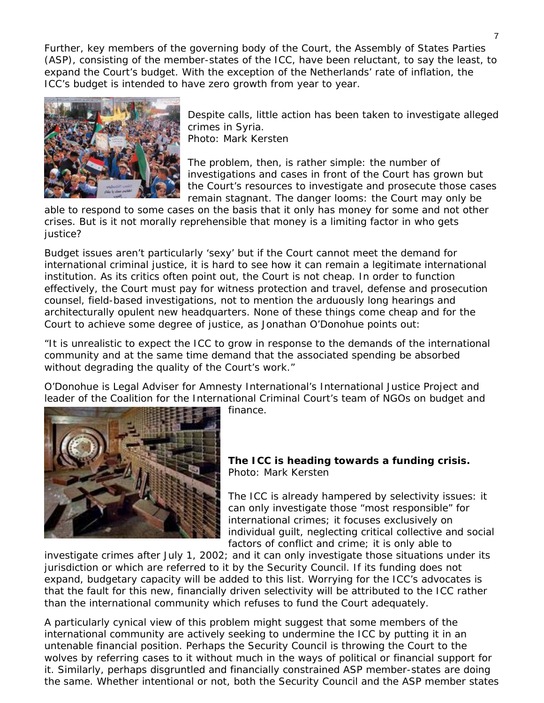Further, key members of the governing body of the Court, the Assembly of States Parties (ASP), consisting of the member-states of the ICC, have been reluctant, to say the least, to expand the Court's budget. With the exception of the Netherlands' rate of inflation, the ICC's budget is intended to have zero growth from year to year.



Despite calls, little action has been taken to investigate a lleged crimes in Syria.

[Photo: Mark Kersten](http://justiceinconflict.files.wordpress.com/2011/07/syrian-protests.png) 

The problem, then, is rather simple: the number of investigations and cases in front of the Court has grown but the Court's resources to investigate and prosecute those cases remain stagnant. The danger looms: the Court may only be

able to respond to some cases on the basis that it only has money for some and not other crises. But is it not morally reprehensible that money is a limiting factor in who gets justice?

Budget issues aren't particularly 'sexy' but if the Court cannot meet the demand for international criminal justice, it is hard to see how it can remain a legitimate international institution. As its critics often point out, the Court is not cheap. In order to function effectively, the Court must pay for witness protection and travel, defense and prosecution counsel, field-based investigations, not to mention the arduously long hearings and [architecturally opulent new headquarters.](http://www.greendiary.com/entry/international-criminal-court-to-get-its-permanent-green-premises/) None of these things come cheap and for the Court to achieve some degree of justice, as Jonathan O'Donohue points out:

"It is unrealistic to expect the ICC to grow in response to the demands of the international community and at the same time demand that the associated spending be absorbed without degrading the quality of the Court's work."

O'Donohue is Legal Adviser for Amnesty International's International Justice Project and leader of the Coalition for the International Criminal Court's team of NGOs on budget and



finance.

**The ICC is heading towards a funding crisis.**  [Photo: Mark Kersten](http://justiceinconflict.files.wordpress.com/2011/07/emptyvault.jpg) 

The ICC is already hampered by selectivity issues: it can only investigate those "most responsible" for international crimes; it focuses exclusively on individual guilt, neglecting critical collective and social factors of conflict and crime; it is [only able to](http://justiceinconflict.org/2011/07/05/why-the-icc-should-think-twice-before-investigating-conflicts-with-roots-before-2002/) 

[investigate crimes after July 1, 2002;](http://justiceinconflict.org/2011/07/05/why-the-icc-should-think-twice-before-investigating-conflicts-with-roots-before-2002/) and it can only investigate those situations under its jurisdiction or which are referred to it by the Security Council. If its funding does not expand, budgetary capacity will be added to this list. Worrying for the ICC's advocates is that the fault for this new, financially driven selectivity will be attributed to the ICC rather than the international community which refuses to fund the Court adequately.

A particularly cynical view of this problem might suggest that some members of the international community are actively seeking to undermine the ICC by putting it in an untenable financial position. Perhaps the Security Council is throwing the Court to the wolves by referring cases to it without much in the ways of political or financial support for it. Similarly, perhaps disgruntled and financially constrained ASP member-states are doing the same. Whether intentional or not, both the Security Council and the ASP member states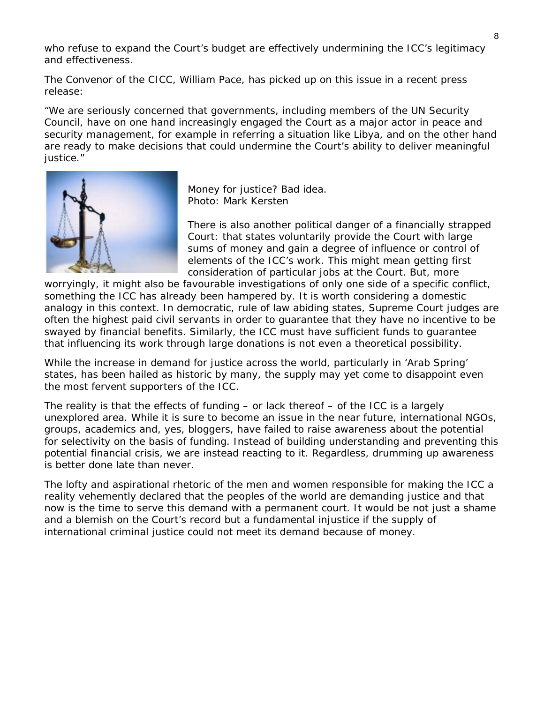who refuse to expand the Court's budget are effectively undermining the ICC's legitimacy and effectiveness.

The Convenor of the CICC, William Pace, has picked up on this issue in a recent press release:

*"We are seriously concerned that governments, including members of the UN Security Council, have on one hand increasingly engaged the Court as a major actor in peace and security management, for example in referring a situation like Libya, and on the other hand are ready to make decisions that could undermine the Court's ability to deliver meaningful justice."*



Money for justice? Bad idea. [Photo: Mark Kersten](http://justiceinconflict.files.wordpress.com/2011/07/moneyandjustice.png) 

There is also another political danger of a financially strapped Court: that states voluntarily provide the Court with large sums of money and gain a degree of influence or control of elements of the ICC's work. This might mean getting first consideration of particular jobs at the Court. But, more

worryingly, it might also be favourable investigations of only one side of a specific conflict, something the ICC has already been hampered by. It is worth considering a domestic analogy in this context. In democratic, rule of law abiding states, Supreme Court judges are often the highest paid civil servants in order to guarantee that they have no incentive to be swayed by financial benefits. Similarly, the ICC must have sufficient funds to guarantee that influencing its work through large donations is not even a theoretical possibility.

While the increase in demand for justice across the world, particularly in 'Arab Spring' states, has been hailed as historic by many, the supply may yet come to disappoint even the most fervent supporters of the ICC.

The reality is that the effects of funding  $-$  or lack thereof  $-$  of the ICC is a largely unexplored area. While it is sure to become an issue in the near future, international NGOs, groups, academics and, yes, bloggers, have failed to raise awareness about the potential for selectivity on the basis of funding. Instead of building understanding and preventing this potential financial crisis, we are instead reacting to it. Regardless, drumming up awareness is better done late than never.

The lofty and aspirational rhetoric of the men and women responsible for making the ICC a reality vehemently declared that the peoples of the world are demanding justice and that now is the time to serve this demand with a permanent court. It would be not just a shame and a blemish on the Court's record but a fundamental injustice if the supply of international criminal justice could not meet its demand because of money.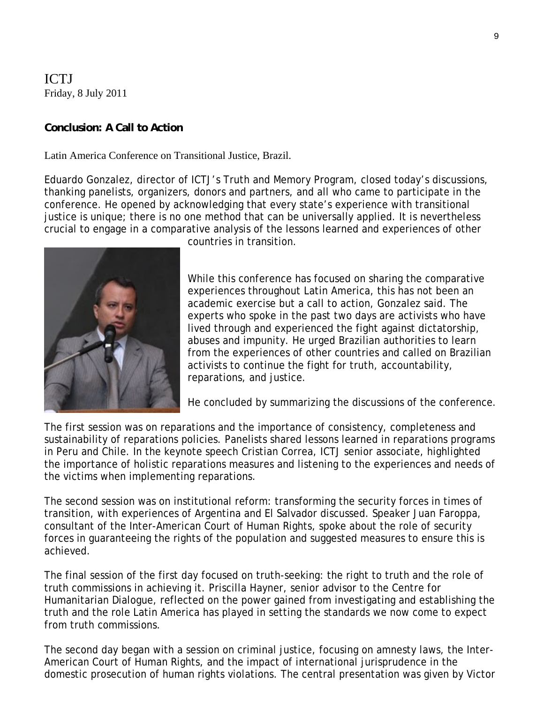ICTJ Friday, 8 July 2011

#### **[Conclusion: A Call to Action](http://tjbrasilia.blogspot.com/2011/07/session-6-driving-force-for-justice.html)**

Latin America Conference on Transitional Justice, Brazil.

[Eduardo Gonzalez](http://ictj.org/about/eduardo-gonzalez), director of [ICTJ's Truth and Memory Program](http://ictj.org/our-work/transitional-justice-issues/truth-and-memory), closed today's discussions, thanking panelists, organizers, donors and partners, and all who came to participate in the conference. He opened by acknowledging that every state's experience with transitional justice is unique; there is no one method that can be universally applied. It is nevertheless crucial to engage in a comparative analysis of the lessons learned and experiences of other



countries in transition.

While this conference has focused on sharing the comparative experiences throughout Latin America, this has not been an academic exercise but a call to action, Gonzalez said. The experts who spoke in the past two days are activists who have lived through and experienced the fight against dictatorship, abuses and impunity. He urged Brazilian authorities to learn from the experiences of other countries and called on Brazilian activists to continue the fight for [truth](http://ictj.org/our-work/transitional-justice-issues/truth-and-memory), accountability, [reparations,](http://ictj.org/our-work/transitional-justice-issues/reparations) and justice.

He concluded by summarizing the discussions of the conference.

The first session was on reparations and the importance of consistency, completeness and sustainability of [reparations](http://ictj.org/our-work/transitional-justice-issues/reparations) policies. Panelists shared lessons learned in reparations programs in [Peru](http://ictj.org/our-work/regions-and-countries/peru) and Chile. In the keynote speech Cristian Correa, [ICTJ](http://ictj.org/) senior associate, highlighted the importance of holistic reparations measures and listening to the experiences and needs of the victims when implementing reparations.

The second session was on [institutional reform](http://ictj.org/our-work/transitional-justice-issues/institutional-reform): transforming the security forces in times of transition, with experiences of [Argentina](http://ictj.org/our-work/regions-and-countries/argentina) and El Salvador discussed. Speaker Juan Faroppa, consultant of the [Inter-American Court of Human Rights](http://www.cidh.oas.org/DefaultE.htm), spoke about the role of security forces in guaranteeing the rights of the population and suggested measures to ensure this is achieved.

The final session of the first day focused on truth-seeking: the right to truth and the role of truth commissions in achieving it. Priscilla Hayner, senior advisor to the [Centre for](http://www.hdcentre.org/)  [Humanitarian Dialogue](http://www.hdcentre.org/), reflected on the power gained from investigating and establishing the truth and the role Latin America has played in setting the standards we now come to expect from [truth commissions.](http://ictj.org/our-work/transitional-justice-issues/truth-and-memory)

The second day began with a session on criminal justice, focusing on amnesty laws, the [Inter-](http://www.cidh.oas.org/DefaultE.htm)[American Court of Human Rights](http://www.cidh.oas.org/DefaultE.htm), and the impact of international jurisprudence in the domestic prosecution of human rights violations. The central presentation was given by Victor